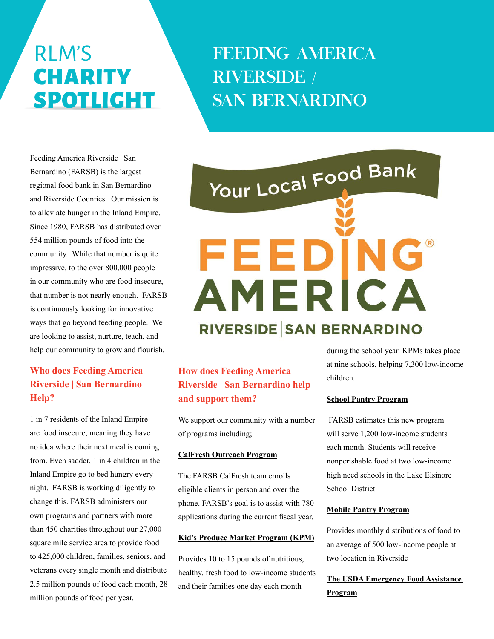# RLM'S **CHARITY** SPOTLIGHT

# FEEDING AMERICA RIVERSIDE / SAN BERNARDINO

Feeding America Riverside | San Bernardino (FARSB) is the largest regional food bank in San Bernardino and Riverside Counties. Our mission is to alleviate hunger in the Inland Empire. Since 1980, FARSB has distributed over 554 million pounds of food into the community. While that number is quite impressive, to the over 800,000 people in our community who are food insecure, that number is not nearly enough. FARSB is continuously looking for innovative ways that go beyond feeding people. We are looking to assist, nurture, teach, and help our community to grow and flourish.

# **Who does Feeding America Riverside | San Bernardino Help?**

1 in 7 residents of the Inland Empire are food insecure, meaning they have no idea where their next meal is coming from. Even sadder, 1 in 4 children in the Inland Empire go to bed hungry every night. FARSB is working diligently to change this. FARSB administers our own programs and partners with more than 450 charities throughout our 27,000 square mile service area to provide food to 425,000 children, families, seniors, and veterans every single month and distribute 2.5 million pounds of food each month, 28 million pounds of food per year.

# Your Local Food Bank FEEDING AMERICA **RIVERSIDE SAN BERNARDINO**

# **How does Feeding America Riverside | San Bernardino help and support them?**

We support our community with a number of programs including;

#### **CalFresh Outreach Program**

The FARSB CalFresh team enrolls eligible clients in person and over the phone. FARSB's goal is to assist with 780 applications during the current fiscal year.

#### **Kid's Produce Market Program (KPM)**

Provides 10 to 15 pounds of nutritious, healthy, fresh food to low-income students and their families one day each month

during the school year. KPMs takes place at nine schools, helping 7,300 low-income children.

#### **School Pantry Program**

 FARSB estimates this new program will serve 1,200 low-income students each month. Students will receive nonperishable food at two low-income high need schools in the Lake Elsinore School District

#### **Mobile Pantry Program**

Provides monthly distributions of food to an average of 500 low-income people at two location in Riverside

### **The USDA Emergency Food Assistance Program**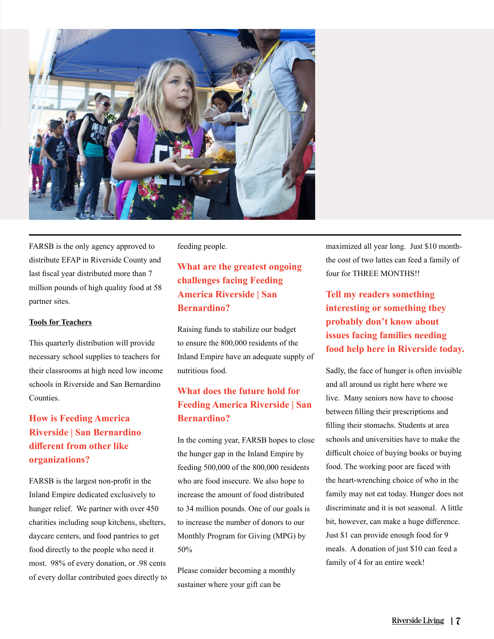

FARSB is the only agency approved to distribute EFAP in Riverside County and last fiscal year distributed more than 7 million pounds of high quality food at 58 partner sites.

#### **Tools for Teachers**

This quarterly distribution will provide necessary school supplies to teachers for their classrooms at high need low income schools in Riverside and San Bernardino Counties.

# **How is Feeding America Riverside | San Bernardino different from other like organizations?**

FARSB is the largest non-profit in the Inland Empire dedicated exclusively to hunger relief. We partner with over 450 charities including soup kitchens, shelters, daycare centers, and food pantries to get food directly to the people who need it most. 98% of every donation, or .98 cents of every dollar contributed goes directly to feeding people.

# **What are the greatest ongoing challenges facing Feeding America Riverside | San Bernardino?**

Raising funds to stabilize our budget to ensure the 800,000 residents of the Inland Empire have an adequate supply of nutritious food.

## **What does the future hold for Feeding America Riverside | San Bernardino?**

In the coming year, FARSB hopes to close the hunger gap in the Inland Empire by feeding 500,000 of the 800,000 residents who are food insecure. We also hope to increase the amount of food distributed to 34 million pounds. One of our goals is to increase the number of donors to our Monthly Program for Giving (MPG) by 50%

Please consider becoming a monthly sustainer where your gift can be

maximized all year long. Just \$10 monththe cost of two lattes can feed a family of four for THREE MONTHS!!

**Tell my readers something interesting or something they probably don't know about issues facing families needing food help here in Riverside today.** 

Sadly, the face of hunger is often invisible and all around us right here where we live. Many seniors now have to choose between filling their prescriptions and filling their stomachs. Students at area schools and universities have to make the difficult choice of buying books or buying food. The working poor are faced with the heart-wrenching choice of who in the family may not eat today. Hunger does not discriminate and it is not seasonal. A little bit, however, can make a huge difference. Just \$1 can provide enough food for 9 meals. A donation of just \$10 can feed a family of 4 for an entire week!